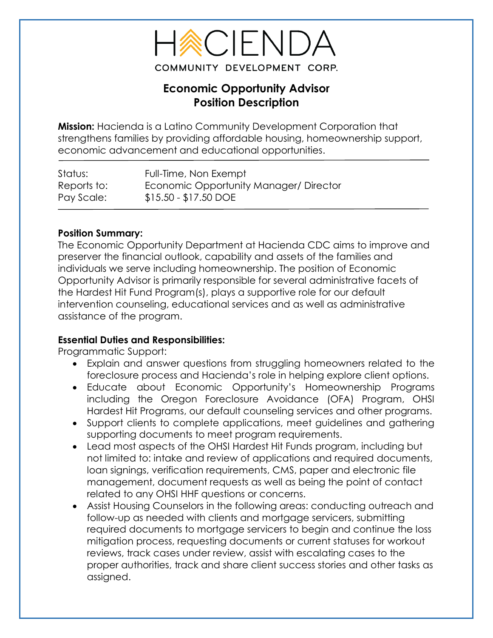

# **Economic Opportunity Advisor Position Description**

**Mission:** Hacienda is a Latino Community Development Corporation that strengthens families by providing affordable housing, homeownership support, economic advancement and educational opportunities.

| Status:     | Full-Time, Non Exempt                 |
|-------------|---------------------------------------|
| Reports to: | Economic Opportunity Manager/Director |
| Pay Scale:  | $$15.50 - $17.50$ DOE                 |

## **Position Summary:**

The Economic Opportunity Department at Hacienda CDC aims to improve and preserver the financial outlook, capability and assets of the families and individuals we serve including homeownership. The position of Economic Opportunity Advisor is primarily responsible for several administrative facets of the Hardest Hit Fund Program(s), plays a supportive role for our default intervention counseling, educational services and as well as administrative assistance of the program.

## **Essential Duties and Responsibilities:**

Programmatic Support:

- Explain and answer questions from struggling homeowners related to the foreclosure process and Hacienda's role in helping explore client options.
- Educate about Economic Opportunity's Homeownership Programs including the Oregon Foreclosure Avoidance (OFA) Program, OHSI Hardest Hit Programs, our default counseling services and other programs.
- Support clients to complete applications, meet guidelines and gathering supporting documents to meet program requirements.
- Lead most aspects of the OHSI Hardest Hit Funds program, including but not limited to: intake and review of applications and required documents, loan signings, verification requirements, CMS, paper and electronic file management, document requests as well as being the point of contact related to any OHSI HHF questions or concerns.
- Assist Housing Counselors in the following areas: conducting outreach and follow-up as needed with clients and mortgage servicers, submitting required documents to mortgage servicers to begin and continue the loss mitigation process, requesting documents or current statuses for workout reviews, track cases under review, assist with escalating cases to the proper authorities, track and share client success stories and other tasks as assigned.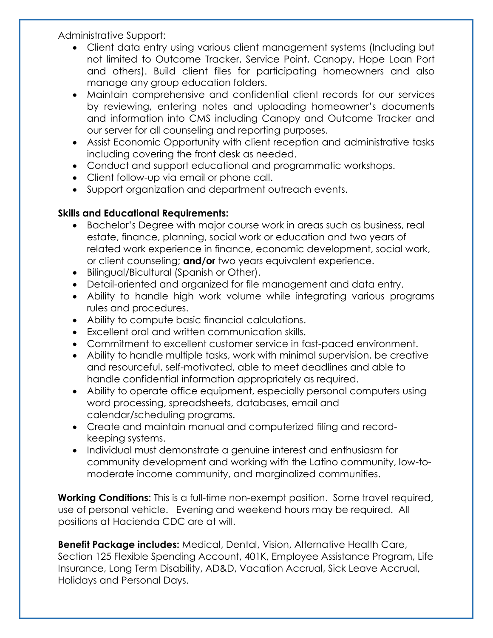Administrative Support:

- Client data entry using various client management systems (Including but not limited to Outcome Tracker, Service Point, Canopy, Hope Loan Port and others). Build client files for participating homeowners and also manage any group education folders.
- Maintain comprehensive and confidential client records for our services by reviewing, entering notes and uploading homeowner's documents and information into CMS including Canopy and Outcome Tracker and our server for all counseling and reporting purposes.
- Assist Economic Opportunity with client reception and administrative tasks including covering the front desk as needed.
- Conduct and support educational and programmatic workshops.
- Client follow-up via email or phone call.
- Support organization and department outreach events.

## **Skills and Educational Requirements:**

- Bachelor's Degree with major course work in areas such as business, real estate, finance, planning, social work or education and two years of related work experience in finance, economic development, social work, or client counseling; **and/or** two years equivalent experience.
- Bilingual/Bicultural (Spanish or Other).
- Detail-oriented and organized for file management and data entry.
- Ability to handle high work volume while integrating various programs rules and procedures.
- Ability to compute basic financial calculations.
- Excellent oral and written communication skills.
- Commitment to excellent customer service in fast-paced environment.
- Ability to handle multiple tasks, work with minimal supervision, be creative and resourceful, self-motivated, able to meet deadlines and able to handle confidential information appropriately as required.
- Ability to operate office equipment, especially personal computers using word processing, spreadsheets, databases, email and calendar/scheduling programs.
- Create and maintain manual and computerized filing and recordkeeping systems.
- Individual must demonstrate a genuine interest and enthusiasm for community development and working with the Latino community, low-tomoderate income community, and marginalized communities.

**Working Conditions:** This is a full-time non-exempt position. Some travel required, use of personal vehicle. Evening and weekend hours may be required. All positions at Hacienda CDC are at will.

**Benefit Package includes:** Medical, Dental, Vision, Alternative Health Care, Section 125 Flexible Spending Account, 401K, Employee Assistance Program, Life Insurance, Long Term Disability, AD&D, Vacation Accrual, Sick Leave Accrual, Holidays and Personal Days.